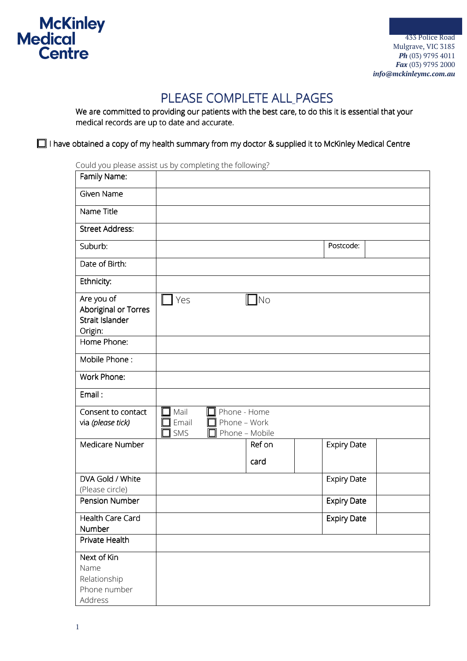

## PLEASE COMPLETE ALL PAGES

We are committed to providing our patients with the best care, to do this it is essential that your medical records are up to date and accurate.

 $\Box$  I have obtained a copy of my health summary from my doctor & supplied it to McKinley Medical Centre

Could you please assist us by completing the following?

| Family Name:                                                     |                      |                     |                                |                    |  |
|------------------------------------------------------------------|----------------------|---------------------|--------------------------------|--------------------|--|
| Given Name                                                       |                      |                     |                                |                    |  |
| Name Title                                                       |                      |                     |                                |                    |  |
| <b>Street Address:</b>                                           |                      |                     |                                |                    |  |
| Suburb:                                                          |                      |                     |                                | Postcode:          |  |
| Date of Birth:                                                   |                      |                     |                                |                    |  |
| Ethnicity:                                                       |                      |                     |                                |                    |  |
| Are you of<br>Aboriginal or Torres<br>Strait Islander<br>Origin: | Yes                  |                     | $\Box$ No                      |                    |  |
| Home Phone:                                                      |                      |                     |                                |                    |  |
| Mobile Phone:                                                    |                      |                     |                                |                    |  |
| Work Phone:                                                      |                      |                     |                                |                    |  |
| Email:                                                           |                      |                     |                                |                    |  |
| Consent to contact<br>via (please tick)                          | Mail<br>Email<br>SMS | $\Box$ Phone - Home | Phone - Work<br>Phone - Mobile |                    |  |
| Medicare Number                                                  |                      |                     | Ref on                         | <b>Expiry Date</b> |  |
|                                                                  |                      |                     | card                           |                    |  |
| DVA Gold / White<br>(Please circle)                              |                      |                     |                                | <b>Expiry Date</b> |  |
| Pension Number                                                   |                      |                     |                                | <b>Expiry Date</b> |  |
| Health Care Card<br>Number                                       |                      |                     |                                | <b>Expiry Date</b> |  |
| Private Health                                                   |                      |                     |                                |                    |  |
| Next of Kin<br>Name<br>Relationship<br>Phone number<br>Address   |                      |                     |                                |                    |  |